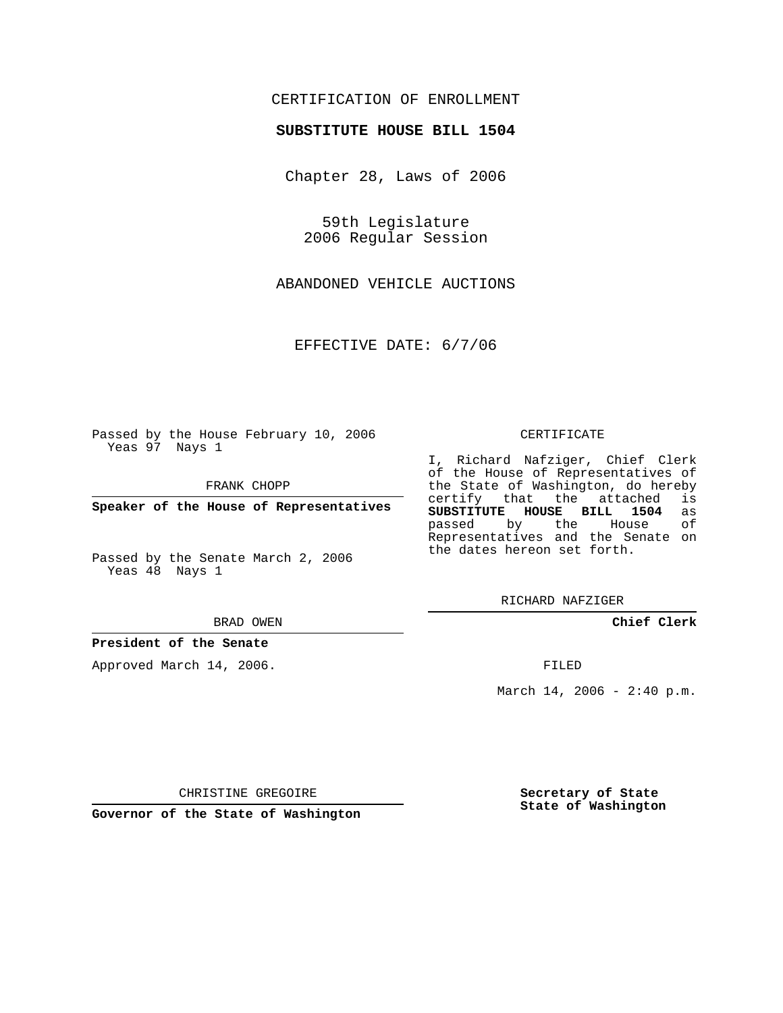## CERTIFICATION OF ENROLLMENT

### **SUBSTITUTE HOUSE BILL 1504**

Chapter 28, Laws of 2006

59th Legislature 2006 Regular Session

ABANDONED VEHICLE AUCTIONS

EFFECTIVE DATE: 6/7/06

Passed by the House February 10, 2006 Yeas 97 Nays 1

FRANK CHOPP

**Speaker of the House of Representatives**

Passed by the Senate March 2, 2006 Yeas 48 Nays 1

#### BRAD OWEN

### **President of the Senate**

Approved March 14, 2006.

#### CERTIFICATE

I, Richard Nafziger, Chief Clerk of the House of Representatives of the State of Washington, do hereby<br>certify that the attached is certify that the attached **SUBSTITUTE HOUSE BILL 1504** as passed by the House Representatives and the Senate on the dates hereon set forth.

RICHARD NAFZIGER

**Chief Clerk**

FILED

March 14, 2006 -  $2:40 \text{ p.m.}$ 

CHRISTINE GREGOIRE

**Governor of the State of Washington**

**Secretary of State State of Washington**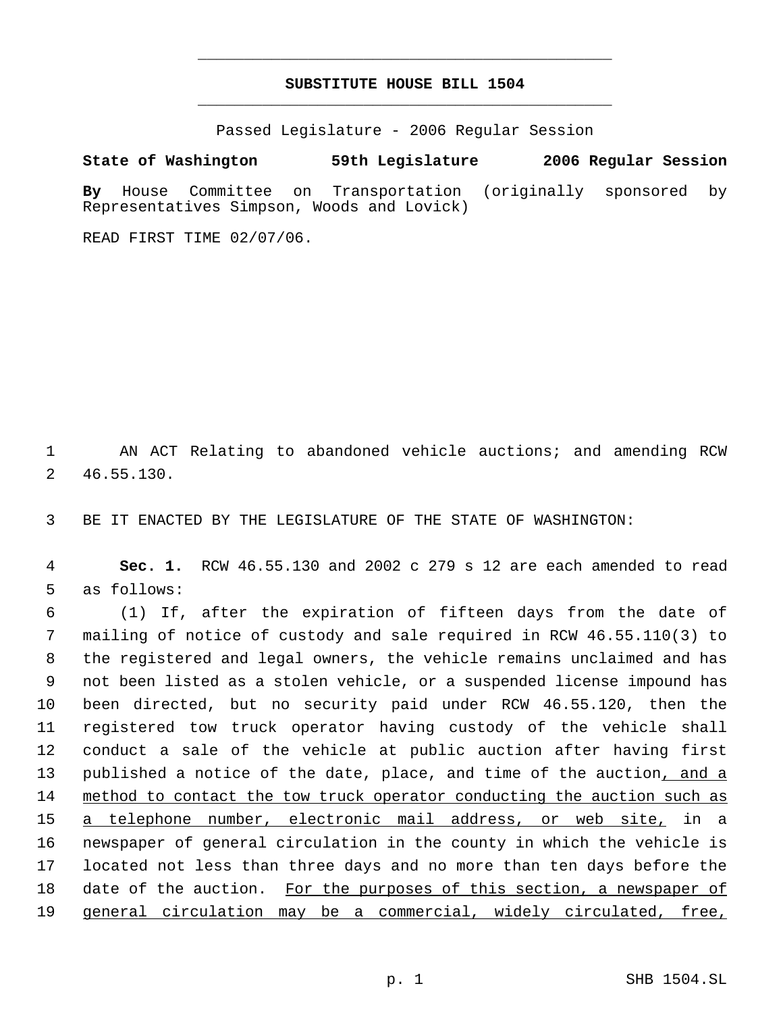# **SUBSTITUTE HOUSE BILL 1504** \_\_\_\_\_\_\_\_\_\_\_\_\_\_\_\_\_\_\_\_\_\_\_\_\_\_\_\_\_\_\_\_\_\_\_\_\_\_\_\_\_\_\_\_\_

\_\_\_\_\_\_\_\_\_\_\_\_\_\_\_\_\_\_\_\_\_\_\_\_\_\_\_\_\_\_\_\_\_\_\_\_\_\_\_\_\_\_\_\_\_

Passed Legislature - 2006 Regular Session

## **State of Washington 59th Legislature 2006 Regular Session**

**By** House Committee on Transportation (originally sponsored by Representatives Simpson, Woods and Lovick)

READ FIRST TIME 02/07/06.

 AN ACT Relating to abandoned vehicle auctions; and amending RCW 46.55.130.

BE IT ENACTED BY THE LEGISLATURE OF THE STATE OF WASHINGTON:

 **Sec. 1.** RCW 46.55.130 and 2002 c 279 s 12 are each amended to read as follows:

 (1) If, after the expiration of fifteen days from the date of mailing of notice of custody and sale required in RCW 46.55.110(3) to the registered and legal owners, the vehicle remains unclaimed and has not been listed as a stolen vehicle, or a suspended license impound has been directed, but no security paid under RCW 46.55.120, then the registered tow truck operator having custody of the vehicle shall conduct a sale of the vehicle at public auction after having first 13 published a notice of the date, place, and time of the auction, and a method to contact the tow truck operator conducting the auction such as a telephone number, electronic mail address, or web site, in a newspaper of general circulation in the county in which the vehicle is located not less than three days and no more than ten days before the date of the auction. For the purposes of this section, a newspaper of 19 general circulation may be a commercial, widely circulated, free,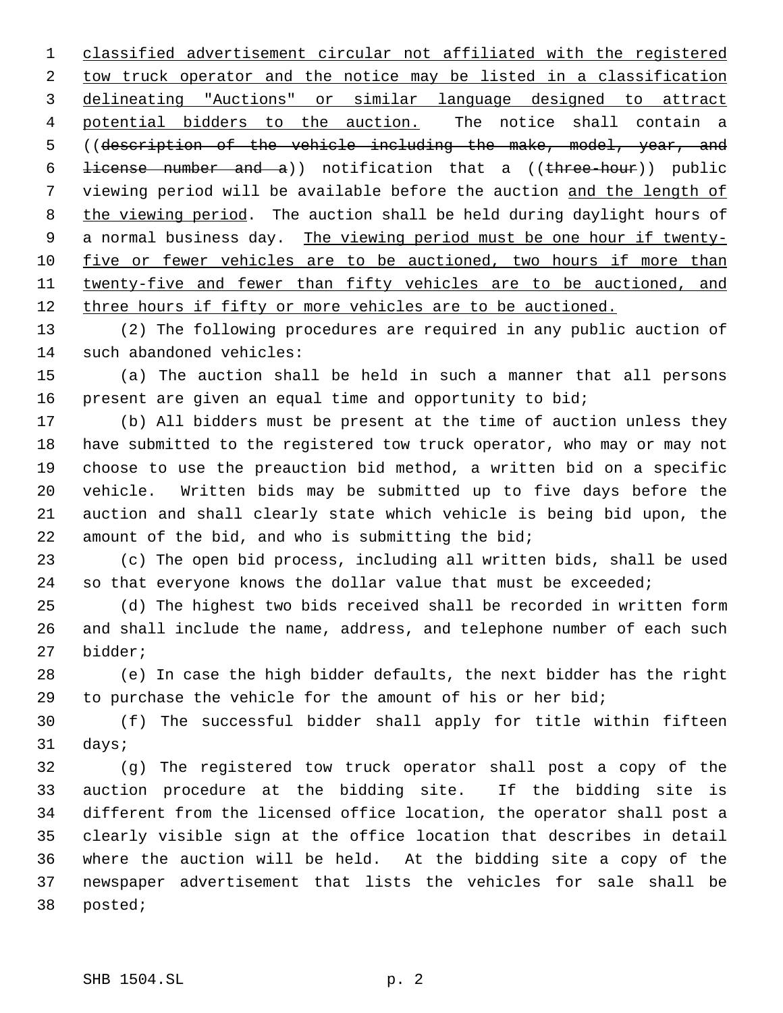classified advertisement circular not affiliated with the registered tow truck operator and the notice may be listed in a classification delineating "Auctions" or similar language designed to attract 4 potential bidders to the auction. The notice shall contain a ((description of the vehicle including the make, model, year, and 6 <del>license number and a</del>)) notification that a  $(\text{three-hour})$  public viewing period will be available before the auction and the length of 8 the viewing period. The auction shall be held during daylight hours of 9 a normal business day. The viewing period must be one hour if twenty-10 five or fewer vehicles are to be auctioned, two hours if more than 11 twenty-five and fewer than fifty vehicles are to be auctioned, and 12 three hours if fifty or more vehicles are to be auctioned.

 (2) The following procedures are required in any public auction of such abandoned vehicles:

 (a) The auction shall be held in such a manner that all persons present are given an equal time and opportunity to bid;

 (b) All bidders must be present at the time of auction unless they have submitted to the registered tow truck operator, who may or may not choose to use the preauction bid method, a written bid on a specific vehicle. Written bids may be submitted up to five days before the auction and shall clearly state which vehicle is being bid upon, the amount of the bid, and who is submitting the bid;

 (c) The open bid process, including all written bids, shall be used 24 so that everyone knows the dollar value that must be exceeded;

 (d) The highest two bids received shall be recorded in written form and shall include the name, address, and telephone number of each such bidder;

 (e) In case the high bidder defaults, the next bidder has the right to purchase the vehicle for the amount of his or her bid;

 (f) The successful bidder shall apply for title within fifteen days;

 (g) The registered tow truck operator shall post a copy of the auction procedure at the bidding site. If the bidding site is different from the licensed office location, the operator shall post a clearly visible sign at the office location that describes in detail where the auction will be held. At the bidding site a copy of the newspaper advertisement that lists the vehicles for sale shall be posted;